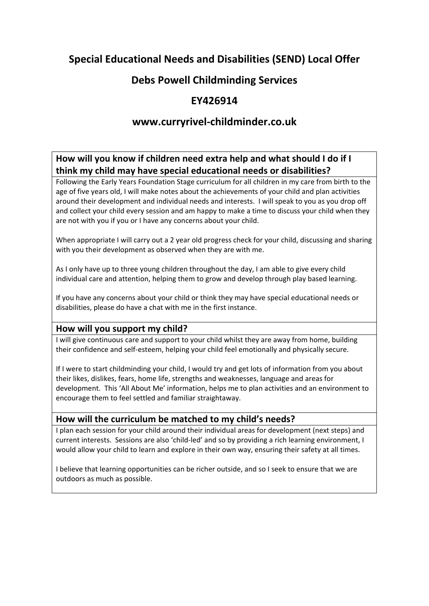# **Special Educational Needs and Disabilities (SEND) Local Offer**

# **Debs Powell Childminding Services**

# **EY426914**

# **www.curryrivel‐childminder.co.uk**

# **How will you know if children need extra help and what should I do if I think my child may have special educational needs or disabilities?**

Following the Early Years Foundation Stage curriculum for all children in my care from birth to the age of five years old, I will make notes about the achievements of your child and plan activities around their development and individual needs and interests. I will speak to you as you drop off and collect your child every session and am happy to make a time to discuss your child when they are not with you if you or I have any concerns about your child.

When appropriate I will carry out a 2 year old progress check for your child, discussing and sharing with you their development as observed when they are with me.

As I only have up to three young children throughout the day, I am able to give every child individual care and attention, helping them to grow and develop through play based learning.

If you have any concerns about your child or think they may have special educational needs or disabilities, please do have a chat with me in the first instance.

#### **How will you support my child?**

I will give continuous care and support to your child whilst they are away from home, building their confidence and self‐esteem, helping your child feel emotionally and physically secure.

If I were to start childminding your child, I would try and get lots of information from you about their likes, dislikes, fears, home life, strengths and weaknesses, language and areas for development. This 'All About Me' information, helps me to plan activities and an environment to encourage them to feel settled and familiar straightaway.

## **How will the curriculum be matched to my child's needs?**

I plan each session for your child around their individual areas for development (next steps) and current interests. Sessions are also 'child-led' and so by providing a rich learning environment, I would allow your child to learn and explore in their own way, ensuring their safety at all times.

I believe that learning opportunities can be richer outside, and so I seek to ensure that we are outdoors as much as possible.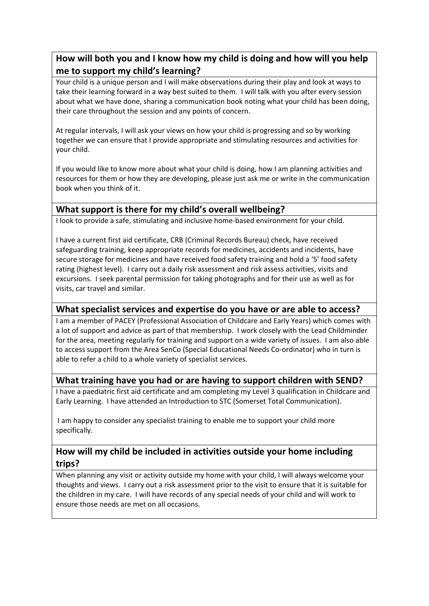# **How will both you and I know how my child is doing and how will you help me to support my child's learning?**

Your child is a unique person and I will make observations during their play and look at ways to take their learning forward in a way best suited to them. I will talk with you after every session about what we have done, sharing a communication book noting what your child has been doing, their care throughout the session and any points of concern.

At regular intervals, I will ask your views on how your child is progressing and so by working together we can ensure that I provide appropriate and stimulating resources and activities for your child.

If you would like to know more about what your child is doing, how I am planning activities and resources for them or how they are developing, please just ask me or write in the communication book when you think of it.

# **What support is there for my child's overall wellbeing?**

I look to provide a safe, stimulating and inclusive home‐based environment for your child.

I have a current first aid certificate, CRB (Criminal Records Bureau) check, have received safeguarding training, keep appropriate records for medicines, accidents and incidents, have secure storage for medicines and have received food safety training and hold a '5' food safety rating (highest level). I carry out a daily risk assessment and risk assess activities, visits and excursions. I seek parental permission for taking photographs and for their use as well as for visits, car travel and similar.

#### **What specialist services and expertise do you have or are able to access?**

I am a member of PACEY (Professional Association of Childcare and Early Years) which comes with a lot of support and advice as part of that membership. I work closely with the Lead Childminder for the area, meeting regularly for training and support on a wide variety of issues. I am also able to access support from the Area SenCo (Special Educational Needs Co-ordinator) who in turn is able to refer a child to a whole variety of specialist services.

## **What training have you had or are having to support children with SEND?**

I have a paediatric first aid certificate and am completing my Level 3 qualification in Childcare and Early Learning. I have attended an Introduction to STC (Somerset Total Communication).

I am happy to consider any specialist training to enable me to support your child more specifically.

### **How will my child be included in activities outside your home including trips?**

When planning any visit or activity outside my home with your child, I will always welcome your thoughts and views. I carry out a risk assessment prior to the visit to ensure that it is suitable for the children in my care. I will have records of any special needs of your child and will work to ensure those needs are met on all occasions.